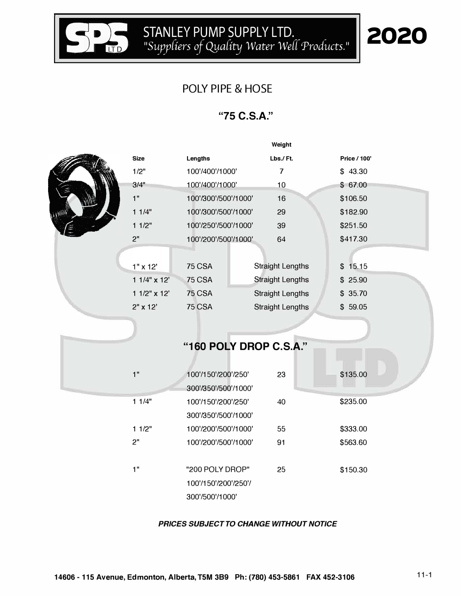

### POLY PIPE & HOSE

#### **"75 C.S.A."**

|                 |                        | Weight                  |              |  |
|-----------------|------------------------|-------------------------|--------------|--|
| <b>Size</b>     | Lengths                | Lbs./Ft.                | Price / 100' |  |
| 1/2"            | 100'/400'/1000'        | $\overline{\mathbf{7}}$ | \$43.30      |  |
| 3/4"            | 100'/400'/1000'        | 10                      | \$67.00      |  |
| 1"              | 100'/300'/500'/1000'   | 16                      | \$106.50     |  |
| 11/4"           | 100'/300'/500'/1000'   | 29                      | \$182.90     |  |
| 11/2"           | 100'/250'/500'/1000'   | 39                      | \$251.50     |  |
| 2"              | 100'/200'/500'/1000'   | 64                      | \$417.30     |  |
|                 |                        |                         |              |  |
| $1" \times 12'$ | 75 CSA                 | <b>Straight Lengths</b> | \$15.15      |  |
| 1 1/4" x 12'    | <b>75 CSA</b>          | <b>Straight Lengths</b> | 25.90<br>\$  |  |
| 1 1/2" x 12'    | 75 CSA                 | <b>Straight Lengths</b> | \$35.70      |  |
| 2" x 12'        | 75 CSA                 | <b>Straight Lengths</b> | \$59.05      |  |
|                 |                        |                         |              |  |
|                 |                        |                         |              |  |
|                 | "160 POLY DROP C.S.A." |                         |              |  |
|                 |                        |                         |              |  |
| 1"              | 100'/150'/200'/250'    | 23                      | \$135.00     |  |
|                 | 300'/350'/500'/1000'   |                         |              |  |
| 11/4"           | 100'/150'/200'/250'    | 40                      | \$235.00     |  |
|                 | 300'/350'/500'/1000'   |                         |              |  |
| 11/2"           | 100'/200'/500'/1000'   | 55                      | \$333.00     |  |
| 2"              | 100'/200'/500'/1000'   | 91                      | \$563.60     |  |
|                 |                        |                         |              |  |
| 1"              | "200 POLY DROP"        | 25                      | \$150.30     |  |
|                 | 100'/150'/200'/250'/   |                         |              |  |
|                 | 300'/500'/1000'        |                         |              |  |

*PRICES SUBJECT TO CHANGE WITHOUT NOTICE*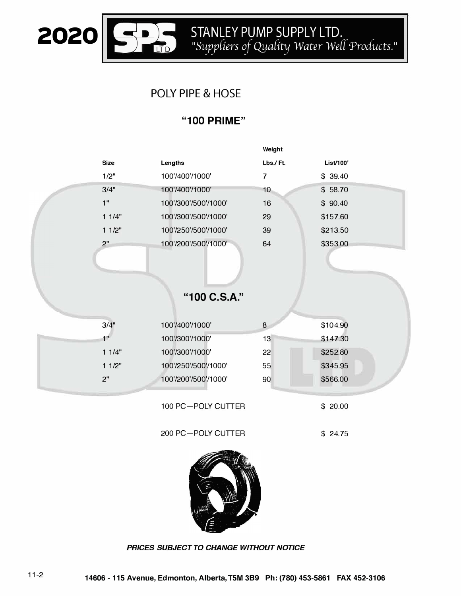

## **POLY PIPE & HOSE**

#### "100 PRIME"

|             |                      | Weight                   |           |  |
|-------------|----------------------|--------------------------|-----------|--|
| <b>Size</b> | Lengths              | Lbs./Ft.                 | List/100' |  |
| 1/2"        | 100'/400'/1000'      | $\overline{\mathcal{L}}$ | \$39.40   |  |
| 3/4"        | 100'/400'/1000'      | 10                       | \$58.70   |  |
| 1"          | 100'/300'/500'/1000' | 16                       | \$90.40   |  |
| 11/4"       | 100'/300'/500'/1000' | 29                       | \$157.60  |  |
| 11/2"       | 100'/250'/500'/1000' | 39                       | \$213.50  |  |
| 2"          | 100'/200'/500'/1000' | 64                       | \$353.00  |  |
|             |                      |                          |           |  |
|             |                      |                          |           |  |
|             |                      |                          |           |  |
|             | "100 C.S.A."         |                          |           |  |
|             |                      |                          |           |  |
| 3/4"        | 100'/400'/1000'      | 8                        | \$104.90  |  |
| 1"          | 100'/300'/1000'      | 13                       | \$147.30  |  |
| 11/4"       | 100'/300'/1000'      | 22                       | \$252.80  |  |
| 11/2"       | 100'/250'/500'/1000' | 55                       | \$345.95  |  |
| 2"          | 100'/200'/500'/1000' | 90                       | \$566.00  |  |
|             |                      |                          |           |  |
|             | 100 PC-POLY CUTTER   |                          | \$20.00   |  |
|             |                      |                          |           |  |
|             | 200 PC-POLY CUTTER   |                          | \$24.75   |  |



PRICES SUBJECT TO CHANGE WITHOUT NOTICE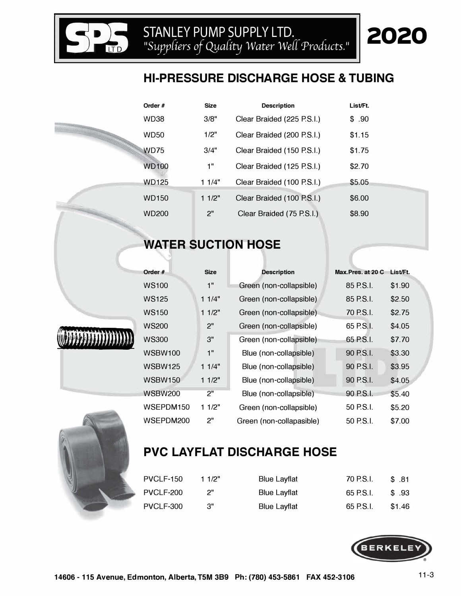# **HI-PRESSURE DISCHARGE HOSE & TUBING**

|  | Order #           | <b>Size</b> | <b>Description</b>         | List/Ft. |
|--|-------------------|-------------|----------------------------|----------|
|  | WD38              | 3/8"        | Clear Braided (225 P.S.I.) | \$.90    |
|  | <b>WD50</b>       | 1/2"        | Clear Braided (200 P.S.I.) | \$1.15   |
|  | <b>WD75</b>       | 3/4"        | Clear Braided (150 P.S.I.) | \$1.75   |
|  | <b>WD100</b>      | 1"          | Clear Braided (125 P.S.I.) | \$2.70   |
|  | <b>WD125</b>      | 11/4"       | Clear Braided (100 P.S.I.) | \$5.05   |
|  | <b>WD150</b>      | 11/2"       | Clear Braided (100 P.S.I.) | \$6.00   |
|  | WD <sub>200</sub> | 2"          | Clear Braided (75 P.S.I.)  | \$8.90   |

## **WATER SUCTION HOSE**

| Order #        | <b>Size</b> | <b>Description</b>       | Max.Pres. at 20 C | List/Ft. |
|----------------|-------------|--------------------------|-------------------|----------|
| <b>WS100</b>   | 1"          | Green (non-collapsible)  | 85 P.S.I.         | \$1.90   |
| <b>WS125</b>   | 11/4"       | Green (non-collapsible)  | 85 P.S.I.         | \$2.50   |
| <b>WS150</b>   | 11/2"       | Green (non-collapsible)  | 70 P.S.I.         | \$2.75   |
| <b>WS200</b>   | 2"          | Green (non-collapsible)  | 65 P.S.I.         | \$4.05   |
| <b>WS300</b>   | 3"          | Green (non-collapsible)  | 65 P.S.I.         | \$7.70   |
| <b>WSBW100</b> | 1"          | Blue (non-collapsible)   | 90 P.S.I.         | \$3.30   |
| <b>WSBW125</b> | 11/4"       | Blue (non-collapsible)   | 90 P.S.I.         | \$3.95   |
| <b>WSBW150</b> | 11/2"       | Blue (non-collapsible)   | 90 P.S.I.         | \$4.05   |
| <b>WSBW200</b> | 2"          | Blue (non-collapsible)   | 90 P.S.I.         | \$5.40   |
| WSEPDM150      | 11/2"       | Green (non-collapsible)  | 50 P.S.I.         | \$5.20   |
| WSEPDM200      | 2"          | Green (non-collapasible) | 50 P.S.I.         | \$7.00   |



**S**

# **PVC LAYFLAT DISCHARGE HOSE**

| PVCLF-150 | 11/2" | <b>Blue Layflat</b> | 70 P.S.I. | \$.81  |
|-----------|-------|---------------------|-----------|--------|
| PVCLF-200 |       | <b>Blue Layflat</b> | 65 P.S.I. | \$93   |
| PVCLF-300 | 3"    | <b>Blue Layflat</b> | 65 P.S.I. | \$1.46 |



2020